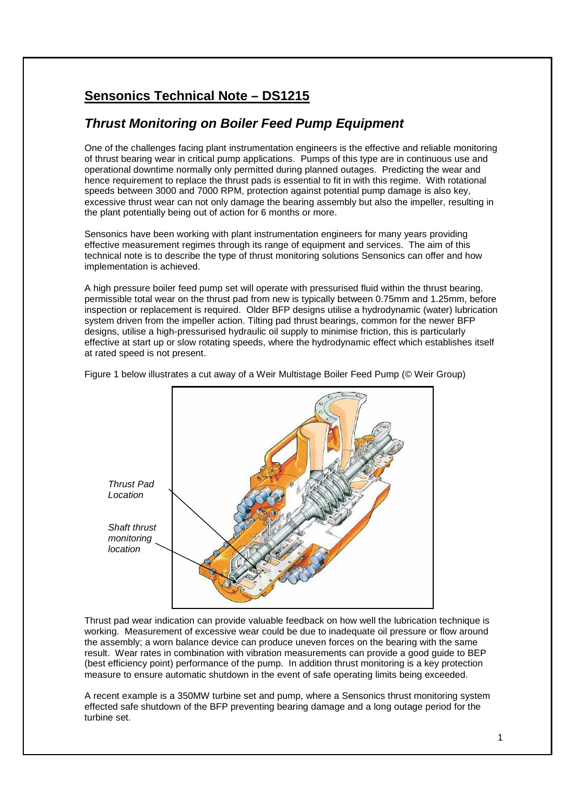## **Sensonics Technical Note – DS1215**

## **Thrust Monitoring on Boiler Feed Pump Equipment**

One of the challenges facing plant instrumentation engineers is the effective and reliable monitoring of thrust bearing wear in critical pump applications. Pumps of this type are in continuous use and operational downtime normally only permitted during planned outages. Predicting the wear and hence requirement to replace the thrust pads is essential to fit in with this regime. With rotational speeds between 3000 and 7000 RPM, protection against potential pump damage is also key, excessive thrust wear can not only damage the bearing assembly but also the impeller, resulting in the plant potentially being out of action for 6 months or more.

Sensonics have been working with plant instrumentation engineers for many years providing effective measurement regimes through its range of equipment and services. The aim of this technical note is to describe the type of thrust monitoring solutions Sensonics can offer and how implementation is achieved.

A high pressure boiler feed pump set will operate with pressurised fluid within the thrust bearing, permissible total wear on the thrust pad from new is typically between 0.75mm and 1.25mm, before inspection or replacement is required. Older BFP designs utilise a hydrodynamic (water) lubrication system driven from the impeller action. Tilting pad thrust bearings, common for the newer BFP designs, utilise a high-pressurised hydraulic oil supply to minimise friction, this is particularly effective at start up or slow rotating speeds, where the hydrodynamic effect which establishes itself at rated speed is not present.

Figure 1 below illustrates a cut away of a Weir Multistage Boiler Feed Pump (© Weir Group)



Thrust pad wear indication can provide valuable feedback on how well the lubrication technique is working. Measurement of excessive wear could be due to inadequate oil pressure or flow around the assembly; a worn balance device can produce uneven forces on the bearing with the same result. Wear rates in combination with vibration measurements can provide a good guide to BEP (best efficiency point) performance of the pump. In addition thrust monitoring is a key protection measure to ensure automatic shutdown in the event of safe operating limits being exceeded.

A recent example is a 350MW turbine set and pump, where a Sensonics thrust monitoring system effected safe shutdown of the BFP preventing bearing damage and a long outage period for the turbine set.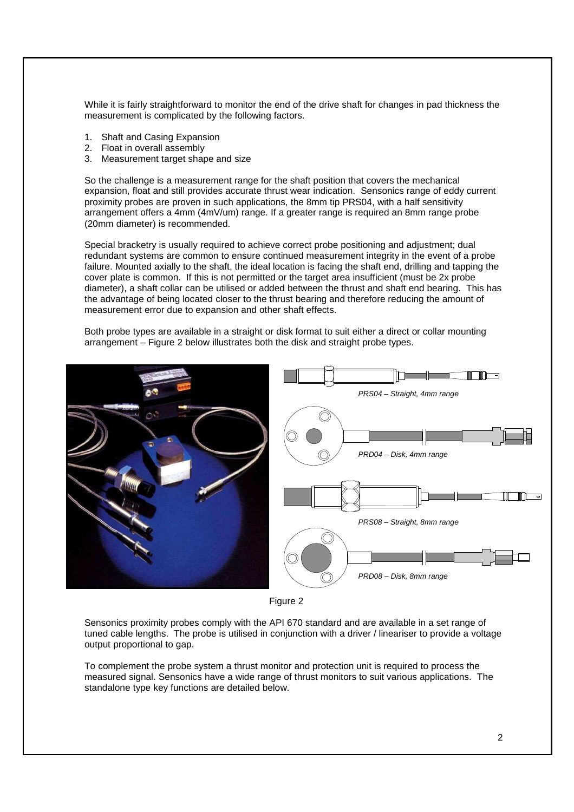While it is fairly straightforward to monitor the end of the drive shaft for changes in pad thickness the measurement is complicated by the following factors.

- 1. Shaft and Casing Expansion
- 2. Float in overall assembly
- 3. Measurement target shape and size

So the challenge is a measurement range for the shaft position that covers the mechanical expansion, float and still provides accurate thrust wear indication. Sensonics range of eddy current proximity probes are proven in such applications, the 8mm tip PRS04, with a half sensitivity arrangement offers a 4mm (4mV/um) range. If a greater range is required an 8mm range probe (20mm diameter) is recommended.

Special bracketry is usually required to achieve correct probe positioning and adjustment; dual redundant systems are common to ensure continued measurement integrity in the event of a probe failure. Mounted axially to the shaft, the ideal location is facing the shaft end, drilling and tapping the cover plate is common. If this is not permitted or the target area insufficient (must be 2x probe diameter), a shaft collar can be utilised or added between the thrust and shaft end bearing. This has the advantage of being located closer to the thrust bearing and therefore reducing the amount of measurement error due to expansion and other shaft effects.

Both probe types are available in a straight or disk format to suit either a direct or collar mounting arrangement – Figure 2 below illustrates both the disk and straight probe types.





Sensonics proximity probes comply with the API 670 standard and are available in a set range of tuned cable lengths. The probe is utilised in conjunction with a driver / lineariser to provide a voltage output proportional to gap.

To complement the probe system a thrust monitor and protection unit is required to process the measured signal. Sensonics have a wide range of thrust monitors to suit various applications. The standalone type key functions are detailed below.